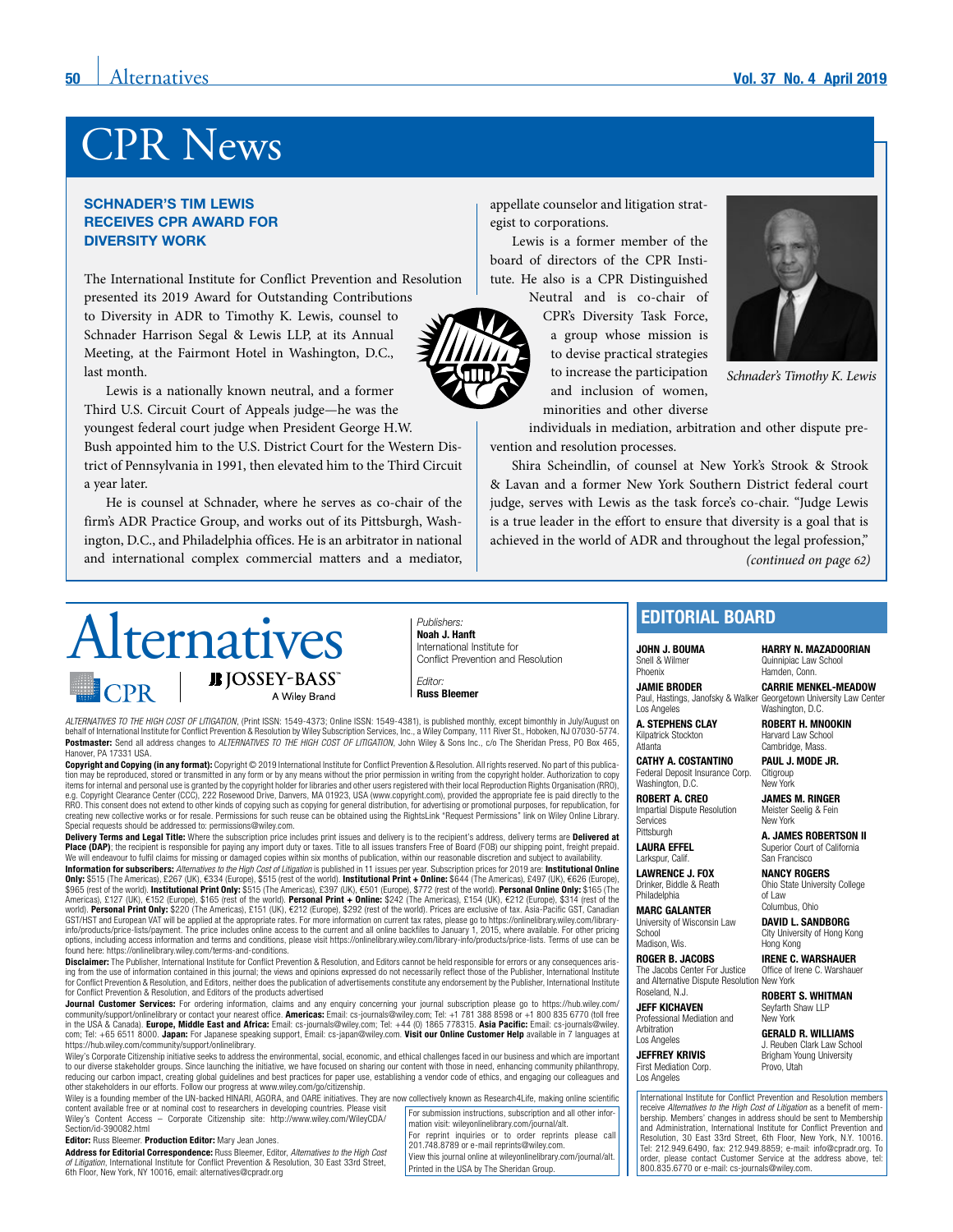## SCHNADER'S TIM LEWIS RECEIVES CPR AWARD FOR DIVERSITY WORK

The International Institute for Conflict Prevention and Resolution presented its 2019 Award for Outstanding Contributions

to Diversity in ADR to Timothy K. Lewis, counsel to Schnader Harrison Segal & Lewis LLP, at its Annual Meeting, at the Fairmont Hotel in Washington, D.C., last month.

Lewis is a nationally known neutral, and a former Third U.S. Circuit Court of Appeals judge—he was the youngest federal court judge when President George H.W. Bush appointed him to the U.S. District Court for the Western District of Pennsylvania in 1991, then elevated him to the Third Circuit a year later.

He is counsel at Schnader, where he serves as co-chair of the firm's ADR Practice Group, and works out of its Pittsburgh, Washington, D.C., and Philadelphia offices. He is an arbitrator in national and international complex commercial matters and a mediator,

appellate counselor and litigation strategist to corporations.

Lewis is a former member of the board of directors of the CPR Institute. He also is a CPR Distinguished

Neutral and is co-chair of CPR's Diversity Task Force, a group whose mission is to devise practical strategies to increase the participation and inclusion of women, minorities and other diverse



*Schnader's Timothy K. Lewis*

individuals in mediation, arbitration and other dispute prevention and resolution processes.

Shira Scheindlin, of counsel at New York's Strook & Strook & Lavan and a former New York Southern District federal court judge, serves with Lewis as the task force's co-chair. "Judge Lewis is a true leader in the effort to ensure that diversity is a goal that is achieved in the world of ADR and throughout the legal profession,"

*(continued on page 62)*



*Publishers:* Noah J. Hanft International Institute for Conflict Prevention and Resolution

*Editor:*  Russ Bleemer

*ALTERNATIVES TO THE HIGH COST OF LITIGATION*, (Print ISSN: 1549-4373; Online ISSN: 1549-4381), is published monthly, except bimonthly in July/August on behalf of International Institute for Conflict Prevention & Resolution by Wiley Subscription Services, Inc., a Wiley Company, 111 River St., Hoboken, NJ 07030-5774. Postmaster: Send all address changes to *ALTERNATIVES TO THE HIGH COST OF LITIGATION*, John Wiley & Sons Inc., c/o The Sheridan Press, PO Box 465, Hanover, PA 17331 USA.

Copyright and Copying (in any format): Copyright © 2019 International Institute for Conflict Prevention & Resolution. All rights reserved. No part of this publication may be reproduced, stored or transmitted in any form or by any means without the prior permission in writing from the copyright holder. Authorization to copy<br>items for internal and personal use is granted by the copyr e.g. Copyright Clearance Center (CCC), 222 Rosewood Drive, Danvers, MA 01923, USA ([www.copyright.com\)](http://www.copyright.com), provided the appropriate fee is paid directly to the<br>RRO. This consent does not extend to other kinds of copying such a creating new collective works or for resale. Permissions for such reuse can be obtained using the RightsLink "Request Permissions" link on Wiley Online Library. Special requests should be addressed to: [permissions@wiley.com](mailto:permissions%40wiley.com?subject=).

Delivery Terms and Legal Title: Where the subscription price includes print issues and delivery is to the recipient's address, delivery terms are Delivered at Place (DAP); the recipient is responsible for paying any import duty or taxes. Title to all issues transfers Free of Board (FOB) our shipping point, freight prepaid.<br>We will endeavour to fulfil claims for missing or damage

Information for subscribers: *Alternatives to the High Cost of Litigation* is published in 11 issues per year. Subscription prices for 2019 are: Institutional Online **Only:** \$515 (The Americas), £267 (UK), €334 (Europe), \$515 (rest of the world). **Institutional Print + Online:** \$644 (The Americas), £497 (UK), €626 (Europe),<br>\$965 (rest of the world). **Institutional Print Only:** \$515 (Th world). Personal Print Only: \$220 (The Americas), £151 (UK), €212 (Europe), \$292 (rest of the world). Prices are exclusive of tax. Asia-Pacific GST, Canadian<br>GST/HST and European VAT will be applied at the appropriate rat [info/products/price-lists/payment](https://onlinelibrary.wiley.com/library-info/products/price-lists/payment). The price includes online access to the current and all online backfiles to January 1, 2015, where available. For other pricing options, including access information and terms and conditions, please visit <https://onlinelibrary.wiley.com/library-info/products/price-lists>. Terms of use can be found here: <https://onlinelibrary.wiley.com/terms-and-conditions>.

Disclaimer: The Publisher, International Institute for Conflict Prevention & Resolution, and Editors cannot be held responsible for errors or any consequences arising from the use of information contained in this journal; the views and opinions expressed do not necessarily reflect those of the Publisher, International Institute<br>for Conflict Prevention & Resolution, and Editors, neit for Conflict Prevention & Resolution, and Editors of the products advertised

**Journal Customer Services:** For ordering information, claims and any enquiry concerning your journal subscription please go to [https://hub.wiley.com/](https://hub.wiley.com/community/support/onlinelibrary)<br>[community/support/onlinelibrary](https://hub.wiley.com/community/support/onlinelibrary) or contact your nearest office. America [com](mailto:cs-journals%40wiley.com?subject=); Tel: +65 6511 8000. Japan: For Japanese speaking support, Email: [cs-japan@wiley.com.](mailto:cs-japan%40wiley.com?subject=) Visit our Online Customer Help available in 7 languages at <https://hub.wiley.com/community/support/onlinelibrary>.

Wiley's Corporate Citizenship initiative seeks to address the environmental, social, economic, and ethical challenges faced in our business and which are important to our diverse stakeholder groups. Since launching the initiative, we have focused on sharing our content with those in need, enhancing community philanthropy, reducing our carbon impact, creating global guidelines and best practices for paper use, establishing a vendor code of ethics, and engaging our colleagues and<br>other stakeholders in our efforts. Follow our progress at www.w

Wiley is a founding member of the UN-backed HINARI, AGORA, and OARE initiatives. They are now collectively known as Research4Life, making online scientific<br>content available free or at nominal cost to researchers in develo Wiley's Content Access – Corporate Citizenship site: [http://www.wiley.com/WileyCDA/](http://www.wiley.com/WileyCDA/Section/id-390082.html) [Section/id-390082.html](http://www.wiley.com/WileyCDA/Section/id-390082.html)

Editor: Russ Bleemer. Production Editor: Mary Jean Jones

Address for Editorial Correspondence: Russ Bleemer, Editor, *Alternatives to the High Cost of Litigation*, International Institute for Conflict Prevention & Resolution, 30 East 33rd Street, 6th Floor, New York, NY 10016, email: [alternatives@cpradr.org](mailto:alternatives%40cpradr.org?subject=)

For submission instructions, subscription and all other information visit: [wileyonlinelibrary.com/journal/alt](http://wileyonlinelibrary.com/journal/alt). For reprint inquiries or to order reprints please call 201.748.8789 or e-mail [reprints@wiley.com.](mailto:reprints%40wiley.com?subject=) View this journal online at [wileyonlinelibrary.com/journal/alt.](http://wileyonlinelibrary.com/journal/alt)

Printed in the USA by The Sheridan Group.

EDITORIAL BOARD

JOHN J. BOUMA Snell & Wilmer Phoenix JAMIE BRODER

CATHY A. COSTANTINO

Impartial Dispute Resolution

Washington, D.C.

Los Angeles

Atlanta

**Services** Pittsburgh LAURA EFFEL HARRY N. MAZADOORIAN Quinnipiac Law School Hamden, Conn.

Paul, Hastings, Janofsky & Walker Georgetown University Law Center CARRIE MENKEL-MEADOW Washington, D.C.

A. STEPHENS CLAY Kilpatrick Stockton ROBERT H. MNOOKIN

Harvard Law School Cambridge, Mass. PAUL J. MODE JR. **Citigroup** 

Federal Deposit Insurance Corp. ROBERT A. CREO New York JAMES M. RINGER

Meister Seelig & Fein New York

A. JAMES ROBERTSON II Superior Court of California San Francisco

NANCY ROGERS Ohio State University College of Law

Columbus, Ohio DAVID L. SANDBORG

City University of Hong Kong Hong Kong

IRENE C. WARSHAUER Office of Irene C. Warshauer

ROBERT S. WHITMAN Seyfarth Shaw LLP New York

GERALD R. WILLIAMS J. Reuben Clark Law School Brigham Young University

First Mediation Corp.

International Institute for Conflict Prevention and Resolution members receive *Alternatives to the High Cost of Litigation* as a benefit of membership. Members' changes in address should be sent to Membership and Administration, International Institute for Conflict Prevention and Resolution, 30 East 33rd Street, 6th Floor, New York, N.Y. 10016. Tel: 212.949.6490, fax: 212.949.8859; e-mail: [info@cpradr.org.](mailto:info%40cpradr.org?subject=) To order, please contact Customer Service at the address above, tel: 800.835.6770 or e-mail: cs-journals[@wiley.com.](mailto:cs-journals%40wiley.com?subject=)

Provo, Utah

School Madison, Wis. ROGER B. JACOBS The Jacobs Center For Justice

JEFF KICHAVEN Professional Mediation and

Los Angeles JEFFREY KRIVIS

Los Angeles

Larkspur, Calif. LAWRENCE J. FOX Drinker, Biddle & Reath Philadelphia

MARC GALANTER University of Wisconsin Law

and Alternative Dispute Resolution New York Roseland, N.J.

Arbitration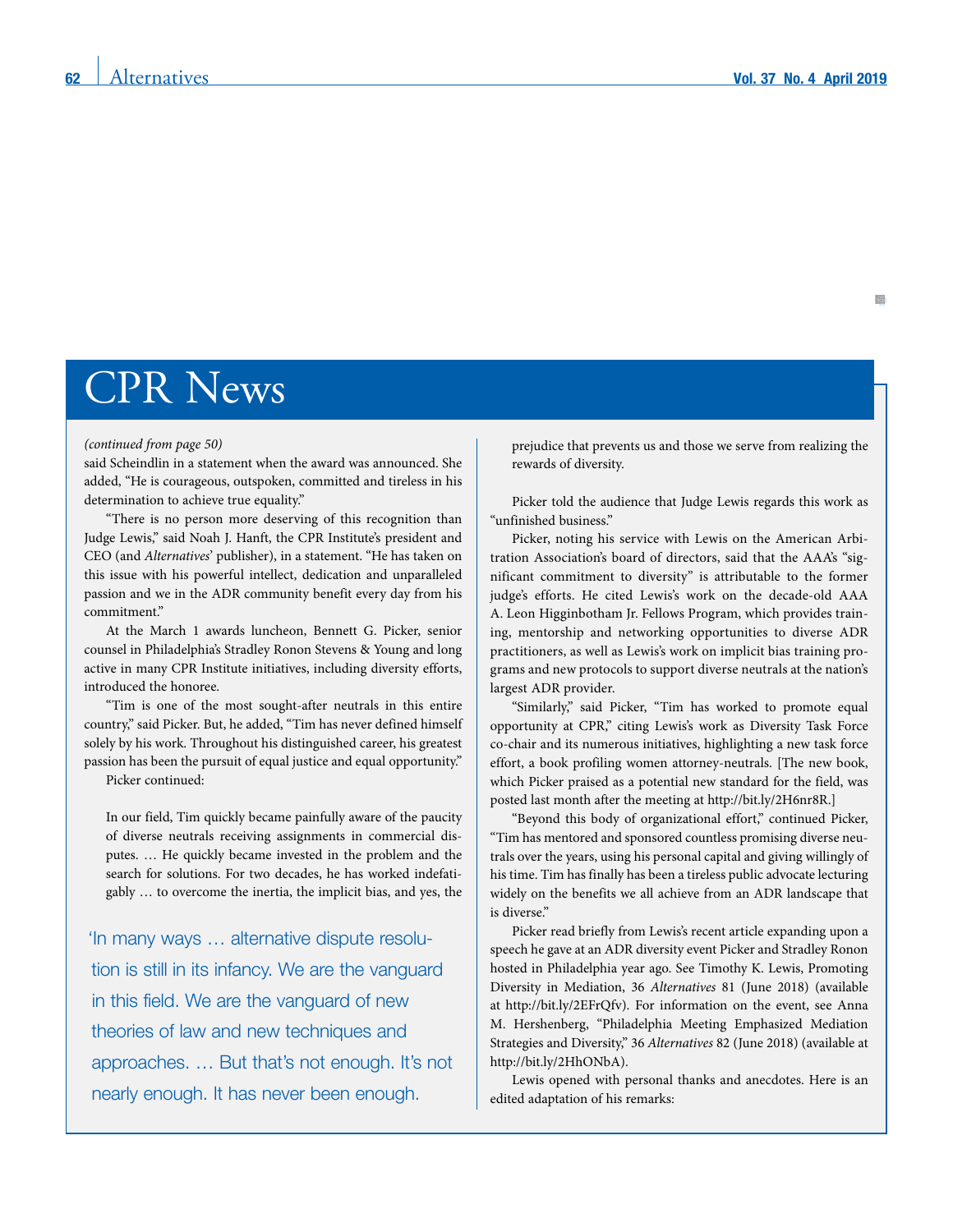#### *(continued from page 50)*

said Scheindlin in a statement when the award was announced. She added, "He is courageous, outspoken, committed and tireless in his determination to achieve true equality."

"There is no person more deserving of this recognition than Judge Lewis," said Noah J. Hanft, the CPR Institute's president and CEO (and *Alternatives*' publisher), in a statement. "He has taken on this issue with his powerful intellect, dedication and unparalleled passion and we in the ADR community benefit every day from his commitment."

At the March 1 awards luncheon, Bennett G. Picker, senior counsel in Philadelphia's Stradley Ronon Stevens & Young and long active in many CPR Institute initiatives, including diversity efforts, introduced the honoree.

"Tim is one of the most sought-after neutrals in this entire country," said Picker. But, he added, "Tim has never defined himself solely by his work. Throughout his distinguished career, his greatest passion has been the pursuit of equal justice and equal opportunity." Picker continued:

In our field, Tim quickly became painfully aware of the paucity of diverse neutrals receiving assignments in commercial disputes. … He quickly became invested in the problem and the search for solutions. For two decades, he has worked indefatigably … to overcome the inertia, the implicit bias, and yes, the

'In many ways … alternative dispute resolution is still in its infancy. We are the vanguard in this field. We are the vanguard of new theories of law and new techniques and approaches. … But that's not enough. It's not nearly enough. It has never been enough.

prejudice that prevents us and those we serve from realizing the rewards of diversity.

Picker told the audience that Judge Lewis regards this work as "unfinished business."

Picker, noting his service with Lewis on the American Arbitration Association's board of directors, said that the AAA's "significant commitment to diversity" is attributable to the former judge's efforts. He cited Lewis's work on the decade-old AAA A. Leon Higginbotham Jr. Fellows Program, which provides training, mentorship and networking opportunities to diverse ADR practitioners, as well as Lewis's work on implicit bias training programs and new protocols to support diverse neutrals at the nation's largest ADR provider.

"Similarly," said Picker, "Tim has worked to promote equal opportunity at CPR," citing Lewis's work as Diversity Task Force co-chair and its numerous initiatives, highlighting a new task force effort, a book profiling women attorney-neutrals. [The new book, which Picker praised as a potential new standard for the field, was posted last month after the meeting at <http://bit.ly/2H6nr8R>.]

"Beyond this body of organizational effort," continued Picker, "Tim has mentored and sponsored countless promising diverse neutrals over the years, using his personal capital and giving willingly of his time. Tim has finally has been a tireless public advocate lecturing widely on the benefits we all achieve from an ADR landscape that is diverse."

Picker read briefly from Lewis's recent article expanding upon a speech he gave at an ADR diversity event Picker and Stradley Ronon hosted in Philadelphia year ago. See Timothy K. Lewis, Promoting Diversity in Mediation, 36 *Alternatives* 81 (June 2018) (available at http[://bit.ly/2EFrQfv\)](http://bit.ly/2EFrQfv). For information on the event, see Anna M. Hershenberg, "Philadelphia Meeting Emphasized Mediation Strategies and Diversity," 36 *Alternatives* 82 (June 2018) (available at [http://bit.ly/2HhONbA\)](http://bit.ly/2HhONbA).

Lewis opened with personal thanks and anecdotes. Here is an edited adaptation of his remarks: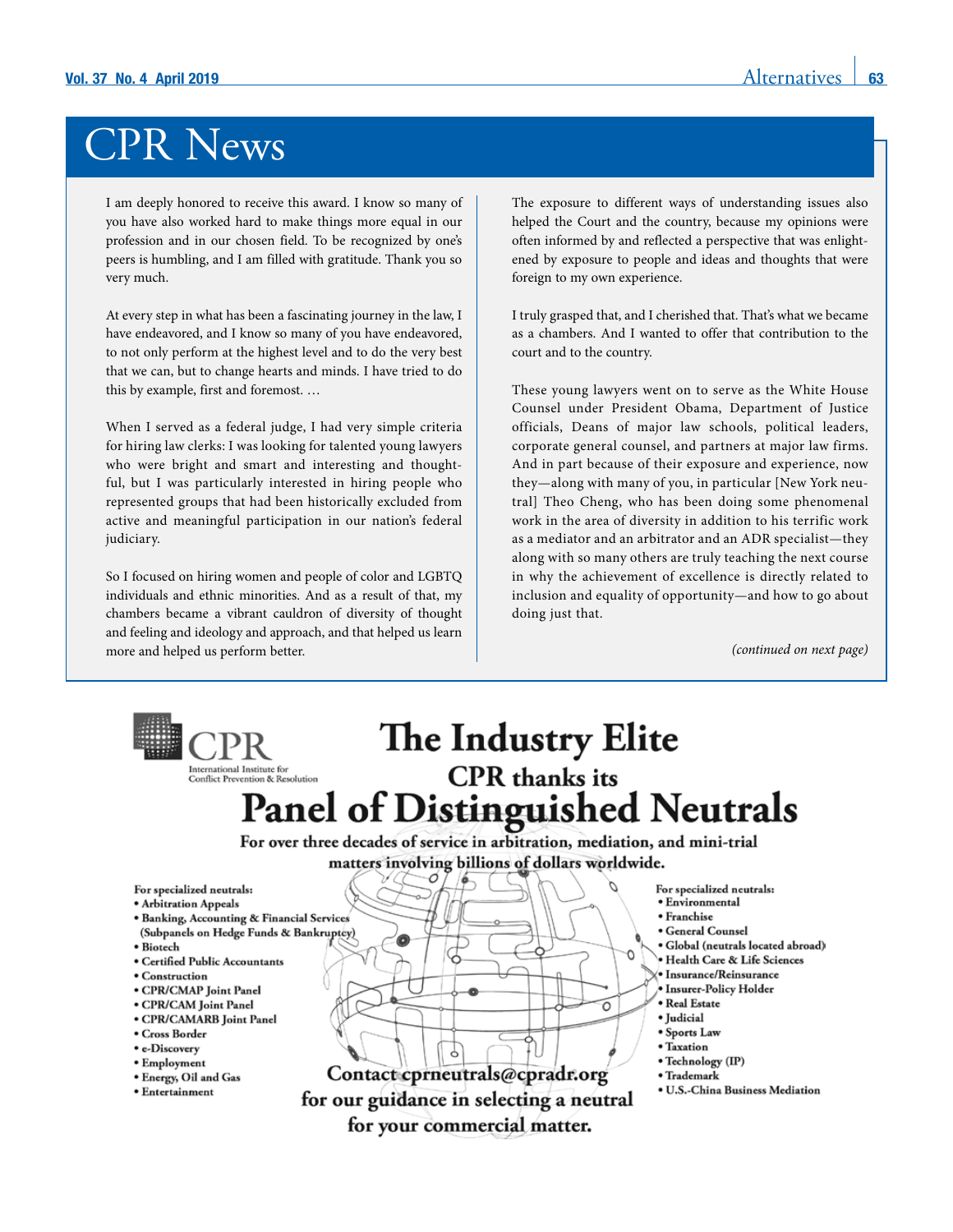I am deeply honored to receive this award. I know so many of you have also worked hard to make things more equal in our profession and in our chosen field. To be recognized by one's peers is humbling, and I am filled with gratitude. Thank you so very much.

At every step in what has been a fascinating journey in the law, I have endeavored, and I know so many of you have endeavored, to not only perform at the highest level and to do the very best that we can, but to change hearts and minds. I have tried to do this by example, first and foremost. …

When I served as a federal judge, I had very simple criteria for hiring law clerks: I was looking for talented young lawyers who were bright and smart and interesting and thoughtful, but I was particularly interested in hiring people who represented groups that had been historically excluded from active and meaningful participation in our nation's federal judiciary.

So I focused on hiring women and people of color and LGBTQ individuals and ethnic minorities. And as a result of that, my chambers became a vibrant cauldron of diversity of thought and feeling and ideology and approach, and that helped us learn more and helped us perform better.

The exposure to different ways of understanding issues also helped the Court and the country, because my opinions were often informed by and reflected a perspective that was enlightened by exposure to people and ideas and thoughts that were foreign to my own experience.

I truly grasped that, and I cherished that. That's what we became as a chambers. And I wanted to offer that contribution to the court and to the country.

These young lawyers went on to serve as the White House Counsel under President Obama, Department of Justice officials, Deans of major law schools, political leaders, corporate general counsel, and partners at major law firms. And in part because of their exposure and experience, now they—along with many of you, in particular [New York neutral] Theo Cheng, who has been doing some phenomenal work in the area of diversity in addition to his terrific work as a mediator and an arbitrator and an ADR specialist—they along with so many others are truly teaching the next course in why the achievement of excellence is directly related to inclusion and equality of opportunity—and how to go about doing just that.

*(continued on next page)*

#### The Industry Elite International Institute for **CPR** thanks its Conflict Prevention & Resolution **Panel of Distinguished Neutrals** For over three decades of service in arbitration, mediation, and mini-trial matters involving billions of dollars worldwide. For specialized neutrals: For specialized neutrals: · Environmental · Arbitration Appeals · Franchise · Banking, Accounting & Financial Services (Subpanels on Hedge Funds & Bankruptcy) · General Counsel · Global (neutrals located abroad) • Biotech · Certified Public Accountants · Health Care & Life Sciences De Insurance/Reinsurance • Construction • CPR/CMAP Joint Panel · Insurer-Policy Holder • Real Estate • CPR/CAM Joint Panel · Judicial · CPR/CAMARB Joint Panel · Sports Law • Cross Border • e-Discoverv · Taxation • Technology (IP) • Employment Contact cprneutrals@cpradr.org · Trademark · Energy, Oil and Gas • U.S.-China Business Mediation · Entertainment for our guidance in selecting a neutral for your commercial matter.